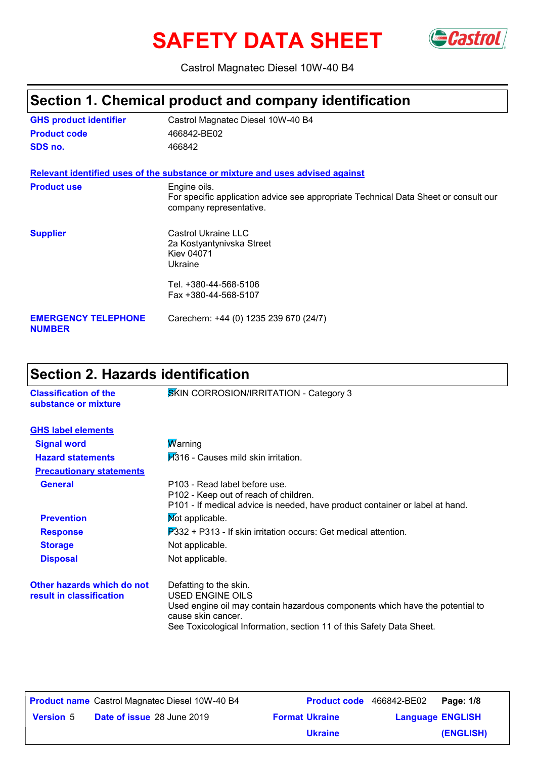# SAFETY DATA SHEET Gastrol



Castrol Magnatec Diesel 10W-40 B4

# **Section 1. Chemical product and company identification**

| <b>GHS product identifier</b>               | Castrol Magnatec Diesel 10W-40 B4                                                                                              |
|---------------------------------------------|--------------------------------------------------------------------------------------------------------------------------------|
| <b>Product code</b>                         | 466842-BE02                                                                                                                    |
| SDS no.                                     | 466842                                                                                                                         |
|                                             | Relevant identified uses of the substance or mixture and uses advised against                                                  |
| <b>Product use</b>                          | Engine oils.<br>For specific application advice see appropriate Technical Data Sheet or consult our<br>company representative. |
| <b>Supplier</b>                             | Castrol Ukraine LLC<br>2a Kostyantynivska Street<br><b>Kiev 04071</b><br>Ukraine                                               |
|                                             | Tel. +380-44-568-5106<br>Fax +380-44-568-5107                                                                                  |
| <b>EMERGENCY TELEPHONE</b><br><b>NUMBER</b> | Carechem: +44 (0) 1235 239 670 (24/7)                                                                                          |

# **Section 2. Hazards identification**

| SKIN CORROSION/IRRITATION - Category 3                                                                                                                                                                                          |
|---------------------------------------------------------------------------------------------------------------------------------------------------------------------------------------------------------------------------------|
|                                                                                                                                                                                                                                 |
| <b>Marning</b>                                                                                                                                                                                                                  |
| <b>H</b> 316 - Causes mild skin irritation.                                                                                                                                                                                     |
|                                                                                                                                                                                                                                 |
| P103 - Read label before use.<br>P <sub>102</sub> - Keep out of reach of children.<br>P101 - If medical advice is needed, have product container or label at hand.                                                              |
| Mot applicable.                                                                                                                                                                                                                 |
| $\overline{P}332$ + P313 - If skin irritation occurs: Get medical attention.                                                                                                                                                    |
| Not applicable.                                                                                                                                                                                                                 |
| Not applicable.                                                                                                                                                                                                                 |
| Defatting to the skin.<br><b>USED ENGINE OILS</b><br>Used engine oil may contain hazardous components which have the potential to<br>cause skin cancer.<br>See Toxicological Information, section 11 of this Safety Data Sheet. |
|                                                                                                                                                                                                                                 |

|                  | <b>Product name</b> Castrol Magnatec Diesel 10W-40 B4 | <b>Product code</b> 466842-BE02 |                         | Page: 1/8 |
|------------------|-------------------------------------------------------|---------------------------------|-------------------------|-----------|
| <b>Version</b> 5 | <b>Date of issue 28 June 2019</b>                     | <b>Format Ukraine</b>           | <b>Language ENGLISH</b> |           |
|                  |                                                       | <b>Ukraine</b>                  |                         | (ENGLISH) |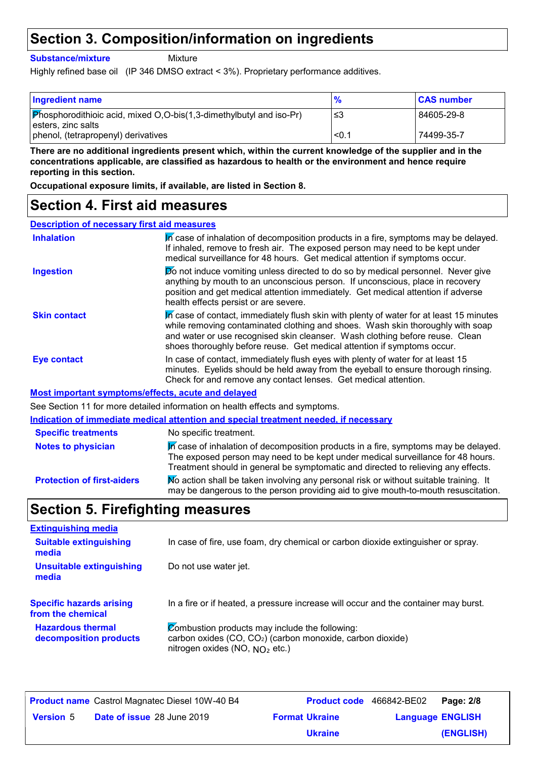## **Section 3. Composition/information on ingredients**

**Substance/mixture**

Mixture

Highly refined base oil (IP 346 DMSO extract < 3%). Proprietary performance additives.

| <b>Ingredient name</b>                                                                                     | $\frac{9}{6}$ | <b>CAS number</b> |
|------------------------------------------------------------------------------------------------------------|---------------|-------------------|
| $\boxed{\text{Phosphorodithioic acid, mixed O,O-bis(1,3-dimethylbutyl and iso-Pr)}}$<br>esters, zinc salts | -≤3           | 84605-29-8        |
| phenol, (tetrapropenyl) derivatives                                                                        | < 0.1         | 74499-35-7        |

**There are no additional ingredients present which, within the current knowledge of the supplier and in the concentrations applicable, are classified as hazardous to health or the environment and hence require reporting in this section.**

**Occupational exposure limits, if available, are listed in Section 8.**

### **Section 4. First aid measures**

| <b>Description of necessary first aid measures</b> |
|----------------------------------------------------|
|----------------------------------------------------|

| <b>Inhalation</b>                                         | In case of inhalation of decomposition products in a fire, symptoms may be delayed.<br>If inhaled, remove to fresh air. The exposed person may need to be kept under<br>medical surveillance for 48 hours. Get medical attention if symptoms occur.                                                                                  |
|-----------------------------------------------------------|--------------------------------------------------------------------------------------------------------------------------------------------------------------------------------------------------------------------------------------------------------------------------------------------------------------------------------------|
| <b>Ingestion</b>                                          | <b>Do</b> not induce vomiting unless directed to do so by medical personnel. Never give<br>anything by mouth to an unconscious person. If unconscious, place in recovery<br>position and get medical attention immediately. Get medical attention if adverse<br>health effects persist or are severe.                                |
| <b>Skin contact</b>                                       | In case of contact, immediately flush skin with plenty of water for at least 15 minutes<br>while removing contaminated clothing and shoes. Wash skin thoroughly with soap<br>and water or use recognised skin cleanser. Wash clothing before reuse. Clean<br>shoes thoroughly before reuse. Get medical attention if symptoms occur. |
| <b>Eye contact</b>                                        | In case of contact, immediately flush eyes with plenty of water for at least 15<br>minutes. Eyelids should be held away from the eyeball to ensure thorough rinsing.<br>Check for and remove any contact lenses. Get medical attention.                                                                                              |
| <b>Most important symptoms/effects, acute and delayed</b> |                                                                                                                                                                                                                                                                                                                                      |
|                                                           | See Section 11 for more detailed information on health effects and symptoms.                                                                                                                                                                                                                                                         |
|                                                           | Indication of immediate medical attention and special treatment needed, if necessary                                                                                                                                                                                                                                                 |
| <b>Specific treatments</b>                                | No specific treatment.                                                                                                                                                                                                                                                                                                               |
| <b>Notes to physician</b>                                 | In case of inhalation of decomposition products in a fire, symptoms may be delayed.<br>The exposed person may need to be kept under medical surveillance for 48 hours.<br>Treatment should in general be symptomatic and directed to relieving any effects.                                                                          |

### **Section 5. Firefighting measures**

| <b>Extinguishing media</b>                           |                                                                                                                                                              |
|------------------------------------------------------|--------------------------------------------------------------------------------------------------------------------------------------------------------------|
| <b>Suitable extinguishing</b><br>media               | In case of fire, use foam, dry chemical or carbon dioxide extinguisher or spray.                                                                             |
| <b>Unsuitable extinguishing</b><br>media             | Do not use water jet.                                                                                                                                        |
| <b>Specific hazards arising</b><br>from the chemical | In a fire or if heated, a pressure increase will occur and the container may burst.                                                                          |
| <b>Hazardous thermal</b><br>decomposition products   | Combustion products may include the following:<br>carbon oxides (CO, CO <sub>2</sub> ) (carbon monoxide, carbon dioxide)<br>nitrogen oxides (NO, $NO2$ etc.) |

**Protection of first-aiders** Mo action shall be taken involving any personal risk or without suitable training. It

may be dangerous to the person providing aid to give mouth-to-mouth resuscitation.

|                  | <b>Product name</b> Castrol Magnatec Diesel 10W-40 B4 | Product code 466842-BE02 |                         | Page: 2/8 |
|------------------|-------------------------------------------------------|--------------------------|-------------------------|-----------|
| <b>Version 5</b> | <b>Date of issue 28 June 2019</b>                     | <b>Format Ukraine</b>    | <b>Language ENGLISH</b> |           |
|                  |                                                       | <b>Ukraine</b>           |                         | (ENGLISH) |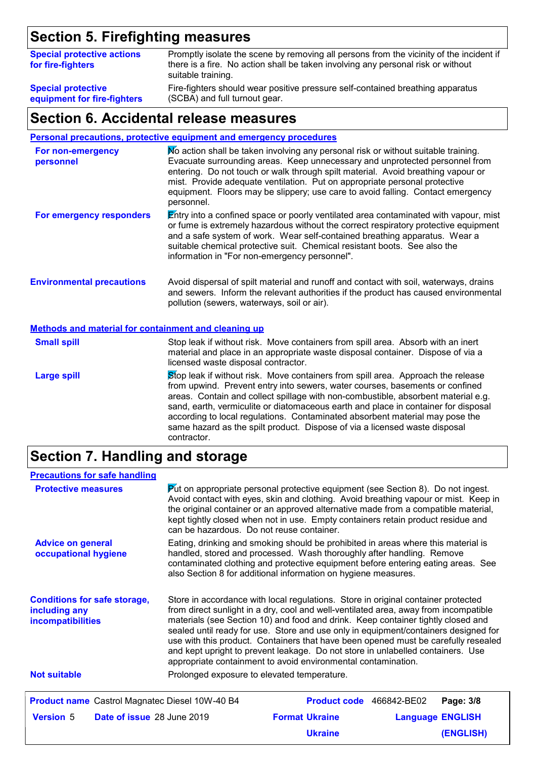# **Section 5. Firefighting measures**

| <b>Special protective actions</b><br>for fire-fighters | Promptly isolate the scene by removing all persons from the vicinity of the incident if<br>there is a fire. No action shall be taken involving any personal risk or without<br>suitable training. |
|--------------------------------------------------------|---------------------------------------------------------------------------------------------------------------------------------------------------------------------------------------------------|
| <b>Special protective</b>                              | Fire-fighters should wear positive pressure self-contained breathing apparatus                                                                                                                    |
| equipment for fire-fighters                            | (SCBA) and full turnout gear.                                                                                                                                                                     |

### **Section 6. Accidental release measures**

**Personal precautions, protective equipment and emergency procedures**

| For non-emergency<br>personnel                              | No action shall be taken involving any personal risk or without suitable training.<br>Evacuate surrounding areas. Keep unnecessary and unprotected personnel from<br>entering. Do not touch or walk through spilt material. Avoid breathing vapour or<br>mist. Provide adequate ventilation. Put on appropriate personal protective<br>equipment. Floors may be slippery; use care to avoid falling. Contact emergency<br>personnel. |  |  |
|-------------------------------------------------------------|--------------------------------------------------------------------------------------------------------------------------------------------------------------------------------------------------------------------------------------------------------------------------------------------------------------------------------------------------------------------------------------------------------------------------------------|--|--|
| For emergency responders                                    | Entry into a confined space or poorly ventilated area contaminated with vapour, mist<br>or fume is extremely hazardous without the correct respiratory protective equipment<br>and a safe system of work. Wear self-contained breathing apparatus. Wear a<br>suitable chemical protective suit. Chemical resistant boots. See also the<br>information in "For non-emergency personnel".                                              |  |  |
| <b>Environmental precautions</b>                            | Avoid dispersal of spilt material and runoff and contact with soil, waterways, drains<br>and sewers. Inform the relevant authorities if the product has caused environmental<br>pollution (sewers, waterways, soil or air).                                                                                                                                                                                                          |  |  |
| <b>Methods and material for containment and cleaning up</b> |                                                                                                                                                                                                                                                                                                                                                                                                                                      |  |  |
| <b>Small spill</b>                                          | Stop leak if without risk. Move containers from spill area. Absorb with an inert<br>material and place in an appropriate waste disposal container. Dispose of via a<br>licensed waste disposal contractor.                                                                                                                                                                                                                           |  |  |
| <b>Large spill</b>                                          | Stop leak if without risk. Move containers from spill area. Approach the release<br>from upwind. Prevent entry into sewers, water courses, basements or confined<br>areas. Contain and collect spillage with non-combustible, absorbent material e.g.                                                                                                                                                                                |  |  |

sand, earth, vermiculite or diatomaceous earth and place in container for disposal according to local regulations. Contaminated absorbent material may pose the same hazard as the spilt product. Dispose of via a licensed waste disposal contractor.

# **Section 7. Handling and storage**

| <b>Precautions for safe handling</b>                                                                                                                                                                                                                                                                                                                                                                                                                                                                                                                                                                                                                                               |                                                                                                                                                                                                                                                                                                                                                                                                       |                                 |  |                         |
|------------------------------------------------------------------------------------------------------------------------------------------------------------------------------------------------------------------------------------------------------------------------------------------------------------------------------------------------------------------------------------------------------------------------------------------------------------------------------------------------------------------------------------------------------------------------------------------------------------------------------------------------------------------------------------|-------------------------------------------------------------------------------------------------------------------------------------------------------------------------------------------------------------------------------------------------------------------------------------------------------------------------------------------------------------------------------------------------------|---------------------------------|--|-------------------------|
| <b>Protective measures</b>                                                                                                                                                                                                                                                                                                                                                                                                                                                                                                                                                                                                                                                         | <b>Put on appropriate personal protective equipment (see Section 8). Do not ingest.</b><br>Avoid contact with eyes, skin and clothing. Avoid breathing vapour or mist. Keep in<br>the original container or an approved alternative made from a compatible material,<br>kept tightly closed when not in use. Empty containers retain product residue and<br>can be hazardous. Do not reuse container. |                                 |  |                         |
| <b>Advice on general</b><br>occupational hygiene                                                                                                                                                                                                                                                                                                                                                                                                                                                                                                                                                                                                                                   | Eating, drinking and smoking should be prohibited in areas where this material is<br>handled, stored and processed. Wash thoroughly after handling. Remove<br>contaminated clothing and protective equipment before entering eating areas. See<br>also Section 8 for additional information on hygiene measures.                                                                                      |                                 |  |                         |
| Store in accordance with local regulations. Store in original container protected<br><b>Conditions for safe storage,</b><br>from direct sunlight in a dry, cool and well-ventilated area, away from incompatible<br>including any<br>materials (see Section 10) and food and drink. Keep container tightly closed and<br><b>incompatibilities</b><br>sealed until ready for use. Store and use only in equipment/containers designed for<br>use with this product. Containers that have been opened must be carefully resealed<br>and kept upright to prevent leakage. Do not store in unlabelled containers. Use<br>appropriate containment to avoid environmental contamination. |                                                                                                                                                                                                                                                                                                                                                                                                       |                                 |  |                         |
| <b>Not suitable</b>                                                                                                                                                                                                                                                                                                                                                                                                                                                                                                                                                                                                                                                                | Prolonged exposure to elevated temperature.                                                                                                                                                                                                                                                                                                                                                           |                                 |  |                         |
| <b>Product name</b> Castrol Magnatec Diesel 10W-40 B4                                                                                                                                                                                                                                                                                                                                                                                                                                                                                                                                                                                                                              |                                                                                                                                                                                                                                                                                                                                                                                                       | <b>Product code</b> 466842-BE02 |  | Page: 3/8               |
| <b>Version 5</b><br>Date of issue 28 June 2019                                                                                                                                                                                                                                                                                                                                                                                                                                                                                                                                                                                                                                     |                                                                                                                                                                                                                                                                                                                                                                                                       | <b>Format Ukraine</b>           |  | <b>Language ENGLISH</b> |
|                                                                                                                                                                                                                                                                                                                                                                                                                                                                                                                                                                                                                                                                                    |                                                                                                                                                                                                                                                                                                                                                                                                       | <b>Ukraine</b>                  |  | (ENGLISH)               |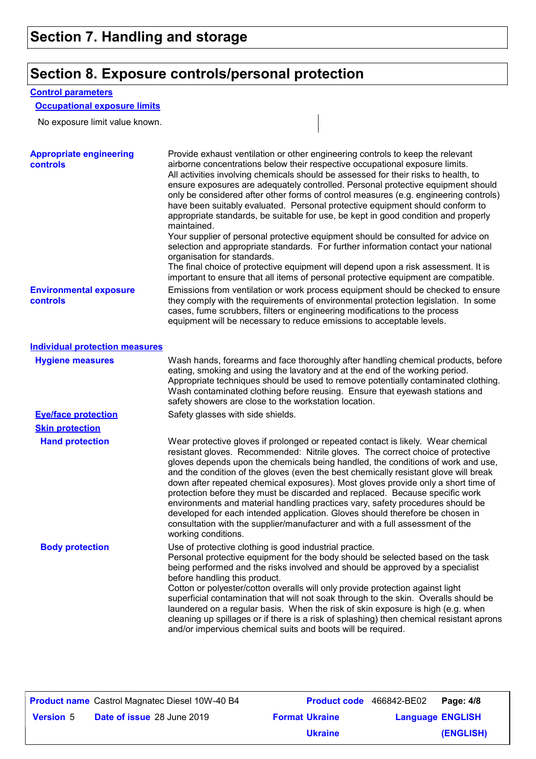# **Section 8. Exposure controls/personal protection**

#### **Control parameters**

### **Occupational exposure limits**

No exposure limit value known.

| <b>Appropriate engineering</b><br><b>controls</b> | Provide exhaust ventilation or other engineering controls to keep the relevant<br>airborne concentrations below their respective occupational exposure limits.<br>All activities involving chemicals should be assessed for their risks to health, to<br>ensure exposures are adequately controlled. Personal protective equipment should<br>only be considered after other forms of control measures (e.g. engineering controls)<br>have been suitably evaluated. Personal protective equipment should conform to<br>appropriate standards, be suitable for use, be kept in good condition and properly<br>maintained.<br>Your supplier of personal protective equipment should be consulted for advice on<br>selection and appropriate standards. For further information contact your national<br>organisation for standards.<br>The final choice of protective equipment will depend upon a risk assessment. It is<br>important to ensure that all items of personal protective equipment are compatible. |
|---------------------------------------------------|---------------------------------------------------------------------------------------------------------------------------------------------------------------------------------------------------------------------------------------------------------------------------------------------------------------------------------------------------------------------------------------------------------------------------------------------------------------------------------------------------------------------------------------------------------------------------------------------------------------------------------------------------------------------------------------------------------------------------------------------------------------------------------------------------------------------------------------------------------------------------------------------------------------------------------------------------------------------------------------------------------------|
| <b>Environmental exposure</b><br>controls         | Emissions from ventilation or work process equipment should be checked to ensure<br>they comply with the requirements of environmental protection legislation. In some<br>cases, fume scrubbers, filters or engineering modifications to the process<br>equipment will be necessary to reduce emissions to acceptable levels.                                                                                                                                                                                                                                                                                                                                                                                                                                                                                                                                                                                                                                                                                 |
| <b>Individual protection measures</b>             |                                                                                                                                                                                                                                                                                                                                                                                                                                                                                                                                                                                                                                                                                                                                                                                                                                                                                                                                                                                                               |
| <b>Hygiene measures</b>                           | Wash hands, forearms and face thoroughly after handling chemical products, before<br>eating, smoking and using the lavatory and at the end of the working period.<br>Appropriate techniques should be used to remove potentially contaminated clothing.<br>Wash contaminated clothing before reusing. Ensure that eyewash stations and<br>safety showers are close to the workstation location.                                                                                                                                                                                                                                                                                                                                                                                                                                                                                                                                                                                                               |
| <b>Eye/face protection</b>                        | Safety glasses with side shields.                                                                                                                                                                                                                                                                                                                                                                                                                                                                                                                                                                                                                                                                                                                                                                                                                                                                                                                                                                             |
| <b>Skin protection</b>                            |                                                                                                                                                                                                                                                                                                                                                                                                                                                                                                                                                                                                                                                                                                                                                                                                                                                                                                                                                                                                               |
| <b>Hand protection</b>                            | Wear protective gloves if prolonged or repeated contact is likely. Wear chemical<br>resistant gloves. Recommended: Nitrile gloves. The correct choice of protective<br>gloves depends upon the chemicals being handled, the conditions of work and use,<br>and the condition of the gloves (even the best chemically resistant glove will break<br>down after repeated chemical exposures). Most gloves provide only a short time of<br>protection before they must be discarded and replaced. Because specific work<br>environments and material handling practices vary, safety procedures should be<br>developed for each intended application. Gloves should therefore be chosen in<br>consultation with the supplier/manufacturer and with a full assessment of the<br>working conditions.                                                                                                                                                                                                               |
| <b>Body protection</b>                            | Use of protective clothing is good industrial practice<br>Personal protective equipment for the body should be selected based on the task<br>being performed and the risks involved and should be approved by a specialist<br>before handling this product.<br>Cotton or polyester/cotton overalls will only provide protection against light<br>superficial contamination that will not soak through to the skin. Overalls should be<br>laundered on a regular basis. When the risk of skin exposure is high (e.g. when<br>cleaning up spillages or if there is a risk of splashing) then chemical resistant aprons<br>and/or impervious chemical suits and boots will be required.                                                                                                                                                                                                                                                                                                                          |

|                  | <b>Product name</b> Castrol Magnatec Diesel 10W-40 B4 | Product code 466842-BE02 |                         | Page: 4/8 |
|------------------|-------------------------------------------------------|--------------------------|-------------------------|-----------|
| <b>Version 5</b> | <b>Date of issue 28 June 2019</b>                     | <b>Format Ukraine</b>    | <b>Language ENGLISH</b> |           |
|                  |                                                       | <b>Ukraine</b>           |                         | (ENGLISH) |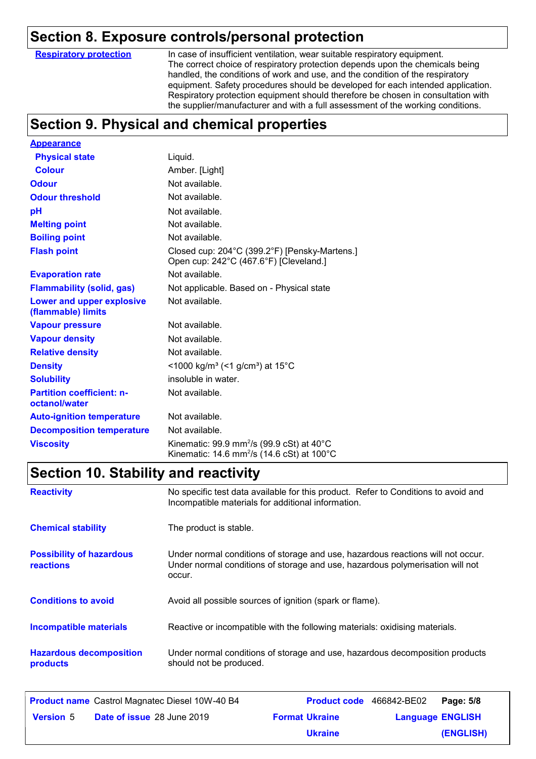### **Section 8. Exposure controls/personal protection**

**Respiratory protection**

In case of insufficient ventilation, wear suitable respiratory equipment. The correct choice of respiratory protection depends upon the chemicals being handled, the conditions of work and use, and the condition of the respiratory equipment. Safety procedures should be developed for each intended application. Respiratory protection equipment should therefore be chosen in consultation with the supplier/manufacturer and with a full assessment of the working conditions.

# **Section 9. Physical and chemical properties**

| <b>Appearance</b>                                      |                                                                                                                                       |
|--------------------------------------------------------|---------------------------------------------------------------------------------------------------------------------------------------|
| <b>Physical state</b>                                  | Liquid.                                                                                                                               |
| <b>Colour</b>                                          | Amber. [Light]                                                                                                                        |
| <b>Odour</b>                                           | Not available.                                                                                                                        |
| <b>Odour threshold</b>                                 | Not available.                                                                                                                        |
| рH                                                     | Not available.                                                                                                                        |
| <b>Melting point</b>                                   | Not available.                                                                                                                        |
| <b>Boiling point</b>                                   | Not available.                                                                                                                        |
| <b>Flash point</b>                                     | Closed cup: 204°C (399.2°F) [Pensky-Martens.]<br>Open cup: 242°C (467.6°F) [Cleveland.]                                               |
| <b>Evaporation rate</b>                                | Not available.                                                                                                                        |
| <b>Flammability (solid, gas)</b>                       | Not applicable. Based on - Physical state                                                                                             |
| <b>Lower and upper explosive</b><br>(flammable) limits | Not available.                                                                                                                        |
| <b>Vapour pressure</b>                                 | Not available.                                                                                                                        |
| <b>Vapour density</b>                                  | Not available.                                                                                                                        |
| <b>Relative density</b>                                | Not available.                                                                                                                        |
| <b>Density</b>                                         | <1000 kg/m <sup>3</sup> (<1 g/cm <sup>3</sup> ) at 15 <sup>°</sup> C                                                                  |
| <b>Solubility</b>                                      | insoluble in water.                                                                                                                   |
| <b>Partition coefficient: n-</b><br>octanol/water      | Not available.                                                                                                                        |
| <b>Auto-ignition temperature</b>                       | Not available.                                                                                                                        |
| <b>Decomposition temperature</b>                       | Not available.                                                                                                                        |
| <b>Viscosity</b>                                       | Kinematic: 99.9 mm <sup>2</sup> /s (99.9 cSt) at 40 $^{\circ}$ C<br>Kinematic: 14.6 mm <sup>2</sup> /s (14.6 cSt) at 100 $^{\circ}$ C |

## **Section 10. Stability and reactivity**

| <b>Reactivity</b>                            | No specific test data available for this product. Refer to Conditions to avoid and<br>Incompatible materials for additional information.                                   |
|----------------------------------------------|----------------------------------------------------------------------------------------------------------------------------------------------------------------------------|
| <b>Chemical stability</b>                    | The product is stable.                                                                                                                                                     |
| <b>Possibility of hazardous</b><br>reactions | Under normal conditions of storage and use, hazardous reactions will not occur.<br>Under normal conditions of storage and use, hazardous polymerisation will not<br>occur. |
| <b>Conditions to avoid</b>                   | Avoid all possible sources of ignition (spark or flame).                                                                                                                   |
| <b>Incompatible materials</b>                | Reactive or incompatible with the following materials: oxidising materials.                                                                                                |
| <b>Hazardous decomposition</b><br>products   | Under normal conditions of storage and use, hazardous decomposition products<br>should not be produced.                                                                    |

|                  | <b>Product name</b> Castrol Magnatec Diesel 10W-40 B4 |                       | Product code 466842-BE02 Page: 5/8 |           |
|------------------|-------------------------------------------------------|-----------------------|------------------------------------|-----------|
| <b>Version 5</b> | <b>Date of issue 28 June 2019</b>                     | <b>Format Ukraine</b> | <b>Language ENGLISH</b>            |           |
|                  |                                                       | <b>Ukraine</b>        |                                    | (ENGLISH) |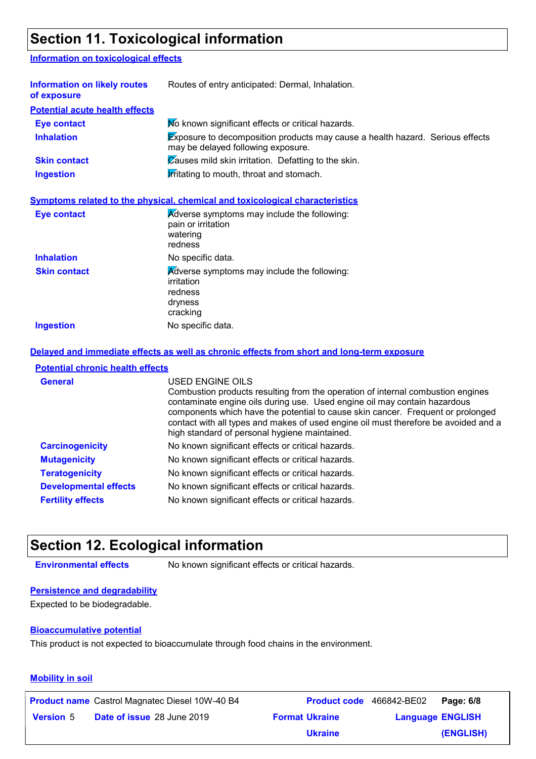# **Section 11. Toxicological information**

#### **Information on toxicological effects**

| <b>Information on likely routes</b><br>of exposure | Routes of entry anticipated: Dermal, Inhalation.                                                                           |  |
|----------------------------------------------------|----------------------------------------------------------------------------------------------------------------------------|--|
| <b>Potential acute health effects</b>              |                                                                                                                            |  |
| <b>Eye contact</b>                                 | Mo known significant effects or critical hazards.                                                                          |  |
| <b>Inhalation</b>                                  | <b>Exposure to decomposition products may cause a health hazard. Serious effects</b><br>may be delayed following exposure. |  |
| <b>Skin contact</b>                                | $\overline{\mathcal{C}}$ auses mild skin irritation. Defatting to the skin.                                                |  |
| <b>Ingestion</b>                                   | <b>Irritating to mouth, throat and stomach.</b>                                                                            |  |
|                                                    | Symptoms related to the physical, chemical and toxicological characteristics                                               |  |
| Eye contact                                        | Adverse symptoms may include the following:<br>pain or irritation<br>watering                                              |  |

|                     | <b>Palli</b> UI IIIILAUUII<br>watering<br>redness                                           |
|---------------------|---------------------------------------------------------------------------------------------|
| <b>Inhalation</b>   | No specific data.                                                                           |
| <b>Skin contact</b> | Adverse symptoms may include the following:<br>irritation<br>redness<br>dryness<br>cracking |
| <b>Ingestion</b>    | No specific data.                                                                           |

#### **Delayed and immediate effects as well as chronic effects from short and long-term exposure**

#### **Potential chronic health effects**

| <b>General</b>               | USED ENGINE OILS<br>Combustion products resulting from the operation of internal combustion engines<br>contaminate engine oils during use. Used engine oil may contain hazardous<br>components which have the potential to cause skin cancer. Frequent or prolonged<br>contact with all types and makes of used engine oil must therefore be avoided and a<br>high standard of personal hygiene maintained. |
|------------------------------|-------------------------------------------------------------------------------------------------------------------------------------------------------------------------------------------------------------------------------------------------------------------------------------------------------------------------------------------------------------------------------------------------------------|
| <b>Carcinogenicity</b>       | No known significant effects or critical hazards.                                                                                                                                                                                                                                                                                                                                                           |
| <b>Mutagenicity</b>          | No known significant effects or critical hazards.                                                                                                                                                                                                                                                                                                                                                           |
| <b>Teratogenicity</b>        | No known significant effects or critical hazards.                                                                                                                                                                                                                                                                                                                                                           |
| <b>Developmental effects</b> | No known significant effects or critical hazards.                                                                                                                                                                                                                                                                                                                                                           |
| <b>Fertility effects</b>     | No known significant effects or critical hazards.                                                                                                                                                                                                                                                                                                                                                           |

### **Section 12. Ecological information**

**Environmental effects** No known significant effects or critical hazards.

#### **Persistence and degradability**

Expected to be biodegradable.

#### **Bioaccumulative potential**

This product is not expected to bioaccumulate through food chains in the environment.

#### **Mobility in soil**

|                  | <b>Product name</b> Castrol Magnatec Diesel 10W-40 B4 | Product code 466842-BE02 |                         | Page: 6/8 |
|------------------|-------------------------------------------------------|--------------------------|-------------------------|-----------|
| <b>Version 5</b> | <b>Date of issue 28 June 2019</b>                     | <b>Format Ukraine</b>    | <b>Language ENGLISH</b> |           |
|                  |                                                       | <b>Ukraine</b>           |                         | (ENGLISH) |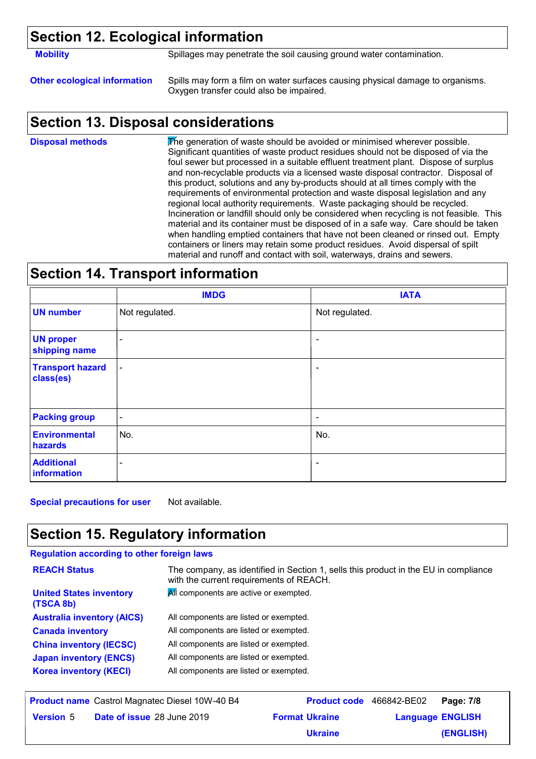### **Section 12. Ecological information**

**Mobility** Spillages may penetrate the soil causing ground water contamination.

**Other ecological information** Spills may form a film on water surfaces causing physical damage to organisms. Oxygen transfer could also be impaired.

### **Section 13. Disposal considerations**

The generation of waste should be avoided or minimised wherever possible. Significant quantities of waste product residues should not be disposed of via the foul sewer but processed in a suitable effluent treatment plant. Dispose of surplus and non-recyclable products via a licensed waste disposal contractor. Disposal of this product, solutions and any by-products should at all times comply with the requirements of environmental protection and waste disposal legislation and any regional local authority requirements. Waste packaging should be recycled. Incineration or landfill should only be considered when recycling is not feasible. This material and its container must be disposed of in a safe way. Care should be taken when handling emptied containers that have not been cleaned or rinsed out. Empty containers or liners may retain some product residues. Avoid dispersal of spilt material and runoff and contact with soil, waterways, drains and sewers. **Disposal methods**

### **Section 14. Transport information**

|                                      | <b>IMDG</b>              | <b>IATA</b>              |
|--------------------------------------|--------------------------|--------------------------|
| <b>UN number</b>                     | Not regulated.           | Not regulated.           |
| <b>UN proper</b><br>shipping name    | $\overline{\phantom{a}}$ |                          |
| <b>Transport hazard</b><br>class(es) | $\overline{\phantom{a}}$ | ۰                        |
| <b>Packing group</b>                 | $\overline{\phantom{a}}$ | $\overline{\phantom{a}}$ |
| <b>Environmental</b><br>hazards      | No.                      | No.                      |
| <b>Additional</b><br>information     |                          | $\overline{\phantom{a}}$ |

**Special precautions for user** Not available.

# **Section 15. Regulatory information**

#### **Regulation according to other foreign laws**

| <b>REACH Status</b>                                     | The company, as identified in Section 1, sells this product in the EU in compliance<br>with the current requirements of REACH. |
|---------------------------------------------------------|--------------------------------------------------------------------------------------------------------------------------------|
| <b>United States inventory</b><br>(TSCA 8b)             | All components are active or exempted.                                                                                         |
| <b>Australia inventory (AICS)</b>                       | All components are listed or exempted.                                                                                         |
| <b>Canada inventory</b>                                 | All components are listed or exempted.                                                                                         |
| <b>China inventory (IECSC)</b>                          | All components are listed or exempted.                                                                                         |
| <b>Japan inventory (ENCS)</b>                           | All components are listed or exempted.                                                                                         |
| <b>Korea inventory (KECI)</b>                           | All components are listed or exempted.                                                                                         |
|                                                         |                                                                                                                                |
| <b>Draduat name Cootrol Mognotoo Dional 1014/ 40 D4</b> | <b>Draduat sade</b> 466040 DE00<br><b>Dogs: 7/0</b>                                                                            |

|                  | <b>Product name</b> Castrol Magnatec Diesel 10W-40 B4 | Product code 466842-BE02 |                         | Page: 7/8 |
|------------------|-------------------------------------------------------|--------------------------|-------------------------|-----------|
| <b>Version 5</b> | Date of issue 28 June 2019                            | <b>Format Ukraine</b>    | <b>Language ENGLISH</b> |           |
|                  |                                                       | <b>Ukraine</b>           |                         | (ENGLISH) |